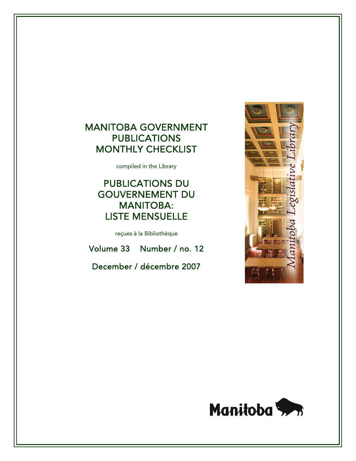# MANITOBA GOVERNMENT PUBLICATIONS MONTHLY CHECKLIST

compiled in the Library

# PUBLICATIONS DU GOUVERNEMENT DU MANITOBA: LISTE MENSUELLE

reçues à la Bibliothèque

Volume 33 Number / no. 12

December / décembre 2007



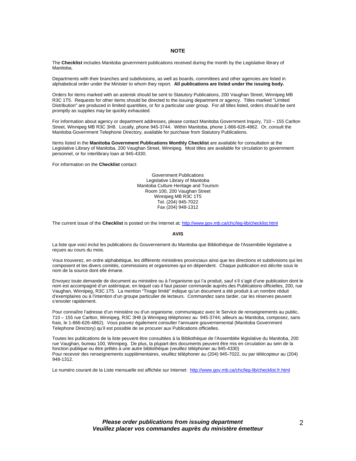#### **NOTE**

The **Checklist** includes Manitoba government publications received during the month by the Legislative library of Manitoba.

Departments with their branches and subdivisions, as well as boards, committees and other agencies are listed in alphabetical order under the Minister to whom they report. **All publications are listed under the issuing body.** 

Orders for items marked with an asterisk should be sent to Statutory Publications, 200 Vaughan Street, Winnipeg MB R3C 1T5. Requests for other items should be directed to the issuing department or agency. Titles marked "Limited Distribution" are produced in limited quantities, or for a particular user group. For all titles listed, orders should be sent promptly as supplies may be quickly exhausted.

For information about agency or department addresses, please contact Manitoba Government Inquiry, 710 – 155 Carlton Street, Winnipeg MB R3C 3H8. Locally, phone 945-3744. Within Manitoba, phone 1-866-626-4862. Or, consult the Manitoba Government Telephone Directory, available for purchase from Statutory Publications.

Items listed in the **Manitoba Government Publications Monthly Checklist** are available for consultation at the Legislative Library of Manitoba, 200 Vaughan Street, Winnipeg. Most titles are available for circulation to government personnel, or for interlibrary loan at 945-4330.

For information on the **Checklist** contact:

Government Publications Legislative Library of Manitoba Manitoba Culture Heritage and Tourism Room 100, 200 Vaughan Street Winnipeg MB R3C 1T5 Tel. (204) 945-7022 Fax (204) 948-1312

The current issue of the **Checklist** is posted on the Internet at: [http://www.gov.mb.ca/chc/leg-lib/checklist.html](https://www.gov.mb.ca/chc/leg-lib/checklist.html)

#### **AVIS**

La liste que voici inclut les publications du Gouvernement du Manitoba que Bibliothèque de l'Assemblée législative a reçues au cours du mois.

Vous trouverez, en ordre alphabétique, les différents ministères provinciaux ainsi que les directions et subdivisions qui les composent et les divers comités, commissions et organismes qui en dépendent. Chaque publication est décrite sous le nom de la source dont elle émane.

Envoyez toute demande de document au ministère ou à l'organisme qui l'a produit, sauf s'il s'agit d'une publication dont le nom est accompagné d'un astérisque, en lequel cas il faut passer commande auprès des Publications officielles, 200, rue Vaughan, Winnipeg, R3C 1T5. La mention "Tirage limité" indique qu'un document a été produit à un nombre réduit d'exemplaires ou à l'intention d'un groupe particulier de lecteurs. Commandez sans tarder, car les réserves peuvent s'envoler rapidement.

Pour connaître l'adresse d'un ministère ou d'un organisme, communiquez avec le Service de renseignements au public, 710 – 155 rue Carlton, Winnipeg, R3C 3H8 (à Winnipeg téléphonez au 945-3744; ailleurs au Manitoba, composez, sans frais, le 1-866-626-4862). Vous pouvez également consulter l'annuaire gouvernemental (Manitoba Government Telephone Directory) qu'il est possible de se procurer aux Publications officielles.

Toutes les publications de la liste peuvent être consultées à la Bibliothèque de l'Assemblée législative du Manitoba, 200 rue Vaughan, bureau 100, Winnipeg. De plus, la plupart des documents peuvent être mis en circulation au sein de la fonction publique ou être prêtés à une autre bibliothèque (veuillez téléphoner au 945-4330) Pour recevoir des renseignements supplémentaires, veuillez téléphoner au (204) 945-7022, ou par télécopieur au (204) 948-1312.

Le numéro courant de la Liste mensuelle est affichée sur Internet: [http://www.gov.mb.ca/chc/leg-lib/checklist.fr.html](https://www.gov.mb.ca/chc/leg-lib/checklist.fr.html)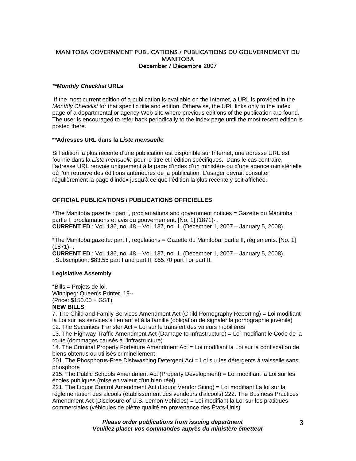## MANITOBA GOVERNMENT PUBLICATIONS / PUBLICATIONS DU GOUVERNEMENT DU MANITOBA December / Décembre 2007

## *\*\*Monthly Checklist* **URLs**

 If the most current edition of a publication is available on the Internet, a URL is provided in the *Monthly Checklist* for that specific title and edition. Otherwise, the URL links only to the index page of a departmental or agency Web site where previous editions of the publication are found. The user is encouraged to refer back periodically to the index page until the most recent edition is posted there.

#### **\*\*Adresses URL dans la** *Liste mensuelle*

Si l'édition la plus récente d'une publication est disponible sur Internet, une adresse URL est fournie dans la *Liste mensuelle* pour le titre et l'édition spécifiques. Dans le cas contraire, l'adresse URL renvoie uniquement à la page d'index d'un ministère ou d'une agence ministérielle où l'on retrouve des éditions antérieures de la publication. L'usager devrait consulter régulièrement la page d'index jusqu'à ce que l'édition la plus récente y soit affichée.

# **OFFICIAL PUBLICATIONS / PUBLICATIONS OFFICIELLES**

\*The Manitoba gazette : part I, proclamations and government notices = Gazette du Manitoba : partie I, proclamations et avis du gouvernement. [No. 1] (1871)- . **CURRENT ED**.: Vol. 136, no. 48 – Vol. 137, no. 1. (December 1, 2007 – January 5, 2008).

\*The Manitoba gazette: part II, regulations = Gazette du Manitoba: partie II, règlements. [No. 1] (1871)- .

**CURRENT ED**.: Vol. 136, no. 48 – Vol. 137, no. 1. (December 1, 2007 – January 5, 2008). . Subscription: \$83.55 part I and part II; \$55.70 part I or part II.

# **Legislative Assembly**

\*Bills = Projets de loi. Winnipeg: Queen's Printer, 19-- (Price: \$150.00 + GST)

# **NEW BILLS**:

7. The Child and Family Services Amendment Act (Child Pornography Reporting) = Loi modifiant la Loi sur les services à l'enfant et à la famille (obligation de signaler la pornographie juvénile) 12. The Securities Transfer Act = Loi sur le transfert des valeurs mobilières

13. The Highway Traffic Amendment Act (Damage to Infrastructure) = Loi modifiant le Code de la route (dommages causés à l'infrastructure)

14. The Criminal Property Forfeiture Amendment Act = Loi modifiant la Loi sur la confiscation de biens obtenus ou utilisés criminellement

201. The Phosphorus-Free Dishwashing Detergent Act = Loi sur les détergents à vaisselle sans phosphore

215. The Public Schools Amendment Act (Property Development) = Loi modifiant la Loi sur les écoles publiques (mise en valeur d'un bien réel)

221. The Liquor Control Amendment Act (Liquor Vendor Siting) = Loi modifiant La loi sur la réglementation des alcools (établissement des vendeurs d'alcools) 222. The Business Practices Amendment Act (Disclosure of U.S. Lemon Vehicles) = Loi modifiant la Loi sur les pratiques commerciales (véhicules de piètre qualité en provenance des États-Unis)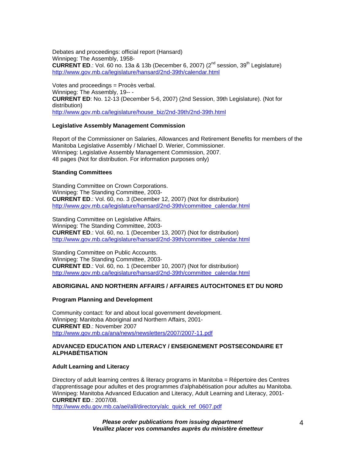Debates and proceedings: official report (Hansard) Winnipeg: The Assembly, 1958- **CURRENT ED.:** Vol. 60 no. 13a & 13b (December 6, 2007) (2<sup>nd</sup> session, 39<sup>th</sup> Legislature) [http://www.gov.mb.ca/legislature/hansard/2nd-39th/calendar.html](https://www.gov.mb.ca/legislature/hansard/2nd-39th/calendar.html)

Votes and proceedings = Procès verbal. Winnipeg: The Assembly, 19-- -**CURRENT ED**: No. 12-13 (December 5-6, 2007) (2nd Session, 39th Legislature). (Not for distribution) [http://www.gov.mb.ca/legislature/house\\_biz/2nd-39th/2nd-39th.html](https://www.gov.mb.ca/legislature/house_biz/2nd-39th/2nd-39th.html)

#### **Legislative Assembly Management Commission**

Report of the Commissioner on Salaries, Allowances and Retirement Benefits for members of the Manitoba Legislative Assembly / Michael D. Werier, Commissioner. Winnipeg: Legislative Assembly Management Commission, 2007. 48 pages (Not for distribution. For information purposes only)

#### **Standing Committees**

Standing Committee on Crown Corporations. Winnipeg: The Standing Committee, 2003- **CURRENT ED**.: Vol. 60, no. 3 (December 12, 2007) (Not for distribution) [http://www.gov.mb.ca/legislature/hansard/2nd-39th/committee\\_calendar.html](https://www.gov.mb.ca/legislature/hansard/2nd-39th/committee_calendar.html)

Standing Committee on Legislative Affairs. Winnipeg: The Standing Committee, 2003- **CURRENT ED**.: Vol. 60, no. 1 (December 13, 2007) (Not for distribution) [http://www.gov.mb.ca/legislature/hansard/2nd-39th/committee\\_calendar.html](https://www.gov.mb.ca/legislature/hansard/2nd-39th/committee_calendar.html)

Standing Committee on Public Accounts. Winnipeg: The Standing Committee, 2003- **CURRENT ED**.: Vol. 60, no. 1 (December 10, 2007) (Not for distribution) [http://www.gov.mb.ca/legislature/hansard/2nd-39th/committee\\_calendar.html](https://www.gov.mb.ca/legislature/hansard/2nd-39th/committee_calendar.html)

# **ABORIGINAL AND NORTHERN AFFAIRS / AFFAIRES AUTOCHTONES ET DU NORD**

#### **Program Planning and Development**

Community contact: for and about local government development. Winnipeg: Manitoba Aboriginal and Northern Affairs, 2001- **CURRENT ED**.: November 2007 [http://www.gov.mb.ca/ana/news/newsletters/2007/2007-11.pdf](https://www.gov.mb.ca/ana/news/newsletters/2007/2007-11.pdf)

## **ADVANCED EDUCATION AND LITERACY / ENSEIGNEMENT POSTSECONDAIRE ET ALPHABÉTISATION**

## **Adult Learning and Literacy**

Directory of adult learning centres & literacy programs in Manitoba = Répertoire des Centres d'apprentissage pour adultes et des programmes d'alphabétisation pour adultes au Manitoba. Winnipeg: Manitoba Advanced Education and Literacy, Adult Learning and Literacy, 2001- **CURRENT ED**.: 2007/08.

[http://www.edu.gov.mb.ca/ael/all/directory/alc\\_quick\\_ref\\_0607.pdf](http://www.edu.gov.mb.ca/ael/all/directory/alc_quick_ref_0607.pdf)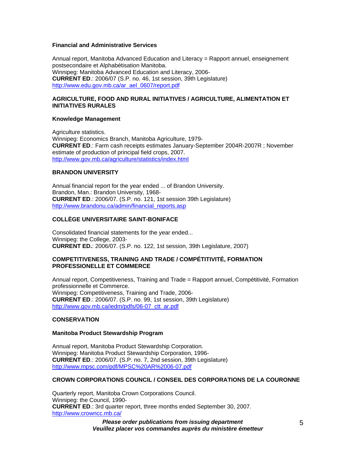## **Financial and Administrative Services**

Annual report, Manitoba Advanced Education and Literacy = Rapport annuel, enseignement postsecondaire et Alphabétisation Manitoba. Winnipeg: Manitoba Advanced Education and Literacy, 2006- **CURRENT ED**.: 2006/07 (S.P. no. 46, 1st session, 39th Legislature) [http://www.edu.gov.mb.ca/ar\\_ael\\_0607/report.pdf](http://www.edu.gov.mb.ca/ar_ael_0607/report.pdf)

## **AGRICULTURE, FOOD AND RURAL INITIATIVES / AGRICULTURE, ALIMENTATION ET INITIATIVES RURALES**

## **Knowledge Management**

Agriculture statistics. Winnipeg: Economics Branch, Manitoba Agriculture, 1979- **CURRENT ED**.: Farm cash receipts estimates January-September 2004R-2007R ; November estimate of production of principal field crops, 2007. [http://www.gov.mb.ca/agriculture/statistics/index.html](https://www.gov.mb.ca/agriculture/statistics/index.html)

## **BRANDON UNIVERSITY**

Annual financial report for the year ended ... of Brandon University. Brandon, Man.: Brandon University, 1968- **CURRENT ED**.: 2006/07. (S.P. no. 121, 1st session 39th Legislature) [http://www.brandonu.ca/admin/financial\\_reports.asp](http://www.brandonu.ca/admin/financial_reports.asp)

# **COLLÈGE UNIVERSITAIRE SAINT-BONIFACE**

Consolidated financial statements for the year ended... Winnipeg: the College, 2003- **CURRENT ED.**: 2006/07. (S.P. no. 122, 1st session, 39th Legislature, 2007)

## **COMPETITIVENESS, TRAINING AND TRADE / COMPÉTITIVITÉ, FORMATION PROFESSIONELLE ET COMMERCE**

Annual report, Competitiveness, Training and Trade = Rapport annuel, Compétitivité, Formation professionnelle et Commerce. Winnipeg: Competitiveness, Training and Trade, 2006- **CURRENT ED**.: 2006/07. (S.P. no. 99, 1st session, 39th Legislature) [http://www.gov.mb.ca/iedm/pdfs/06-07\\_ctt\\_ar.pdf](https://www.gov.mb.ca/iedm/pdfs/06-07_ctt_ar.pdf)

# **CONSERVATION**

# **Manitoba Product Stewardship Program**

Annual report, Manitoba Product Stewardship Corporation. Winnipeg: Manitoba Product Stewardship Corporation, 1996- **CURRENT ED**.: 2006/07. (S.P. no. 7, 2nd session, 39th Legislature) <http://www.mpsc.com/pdf/MPSC%20AR%2006-07.pdf>

# **CROWN CORPORATIONS COUNCIL / CONSEIL DES CORPORATIONS DE LA COURONNE**

Quarterly report, Manitoba Crown Corporations Council. Winnipeg: the Council, 1990- **CURRENT ED**.: 3rd quarter report, three months ended September 30, 2007. <http://www.crowncc.mb.ca/>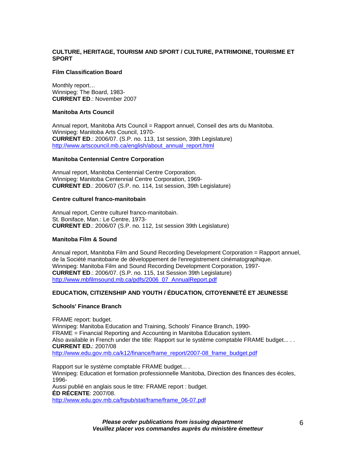## **CULTURE, HERITAGE, TOURISM AND SPORT / CULTURE, PATRIMOINE, TOURISME ET SPORT**

#### **Film Classification Board**

Monthly report... Winnipeg: The Board, 1983- **CURRENT ED**.: November 2007

#### **Manitoba Arts Council**

Annual report, Manitoba Arts Council = Rapport annuel, Conseil des arts du Manitoba. Winnipeg: Manitoba Arts Council, 1970- **CURRENT ED**.: 2006/07. (S.P. no. 113, 1st session, 39th Legislature) [http://www.artscouncil.mb.ca/english/about\\_annual\\_report.html](http://www.artscouncil.mb.ca/english/about_annual_report.html)

#### **Manitoba Centennial Centre Corporation**

Annual report, Manitoba Centennial Centre Corporation. Winnipeg: Manitoba Centennial Centre Corporation, 1969- **CURRENT ED**.: 2006/07 (S.P. no. 114, 1st session, 39th Legislature)

#### **Centre culturel franco-manitobain**

Annual report, Centre culturel franco-manitobain. St. Boniface, Man.: Le Centre, 1973- **CURRENT ED**.: 2006/07 (S.P. no. 112, 1st session 39th Legislature)

#### **Manitoba Film & Sound**

Annual report, Manitoba Film and Sound Recording Development Corporation = Rapport annuel, de la Société manitobaine de développement de l'enregistrement cinématographique. Winnipeg: Manitoba Film and Sound Recording Development Corporation, 1997- **CURRENT ED**.: 2006/07. (S.P. no. 115, 1st Session 39th Legislature) [http://www.mbfilmsound.mb.ca/pdfs/2006\\_07\\_AnnualReport.pdf](http://www.mbfilmsound.mb.ca/pdfs/2006_07_AnnualReport.pdf)

#### **EDUCATION, CITIZENSHIP AND YOUTH / ÉDUCATION, CITOYENNETÉ ET JEUNESSE**

#### **Schools' Finance Branch**

FRAME report: budget. Winnipeg: Manitoba Education and Training, Schools' Finance Branch, 1990- FRAME = Financial Reporting and Accounting in Manitoba Education system. Also available in French under the title: Rapport sur le système comptable FRAME budget... . . **CURRENT ED.**: 2007/08 [http://www.edu.gov.mb.ca/k12/finance/frame\\_report/2007-08\\_frame\\_budget.pdf](http://www.edu.gov.mb.ca/k12/finance/frame_report/2007-08_frame_budget.pdf)

Rapport sur le système comptable FRAME budget... . Winnipeg: Education et formation professionnelle Manitoba, Direction des finances des écoles, 1996- Aussi publié en anglais sous le titre: FRAME report : budget. **ÉD RÉCENTE**: 2007/08. [http://www.edu.gov.mb.ca/frpub/stat/frame/frame\\_06-07.pdf](http://www.edu.gov.mb.ca/frpub/stat/frame/frame_06-07.pdf)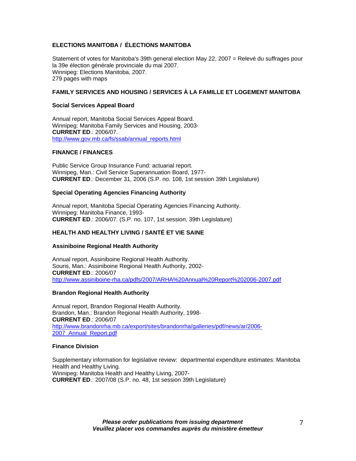# **ELECTIONS MANITOBA / ÉLECTIONS MANITOBA**

Statement of votes for Manitoba's 39th general election May 22, 2007 = Relevé du suffrages pour la 39e élection générale provinciale du mai 2007. Winnipeg: Elections Manitoba, 2007. 279 pages with maps

## **FAMILY SERVICES AND HOUSING / SERVICES À LA FAMILLE ET LOGEMENT MANITOBA**

#### **Social Services Appeal Board**

Annual report, Manitoba Social Services Appeal Board. Winnipeg: Manitoba Family Services and Housing, 2003- **CURRENT ED**.: 2006/07. [http://www.gov.mb.ca/fs/ssab/annual\\_reports.html](https://www.gov.mb.ca/fs/ssab/annual_reports.html)

#### **FINANCE / FINANCES**

Public Service Group Insurance Fund: actuarial report. Winnipeg, Man.: Civil Service Superannuation Board, 1977- **CURRENT ED**.: December 31, 2006 (S.P. no. 108, 1st session 39th Legislature)

#### **Special Operating Agencies Financing Authority**

Annual report, Manitoba Special Operating Agencies Financing Authority. Winnipeg: Manitoba Finance, 1993- **CURRENT ED**.: 2006/07. (S.P. no. 107, 1st session, 39th Legislature)

#### **HEALTH AND HEALTHY LIVING / SANTÉ ET VIE SAINE**

#### **Assiniboine Regional Health Authority**

Annual report, Assiniboine Regional Health Authority. Souris, Man.: Assiniboine Regional Health Authority, 2002- **CURRENT ED**.: 2006/07 <http://www.assiniboine-rha.ca/pdfs/2007/ARHA%20Annual%20Report%202006-2007.pdf>

#### **Brandon Regional Health Authority**

Annual report, Brandon Regional Health Authority. Brandon, Man.: Brandon Regional Health Authority, 1998- **CURRENT ED**.: 2006/07 [http://www.brandonrha.mb.ca/export/sites/brandonrha/galleries/pdf/news/ar/2006-](http://www.brandonrha.mb.ca/export/sites/brandonrha/galleries/pdf/news/ar/2006-2007_Annual_Report.pdf) [2007\\_Annual\\_Report.pdf](http://www.brandonrha.mb.ca/export/sites/brandonrha/galleries/pdf/news/ar/2006-2007_Annual_Report.pdf)

## **Finance Division**

Supplementary information for legislative review: departmental expenditure estimates: Manitoba Health and Healthy Living. Winnipeg: Manitoba Health and Healthy Living, 2007- **CURRENT ED**.: 2007/08 (S.P. no. 48, 1st session 39th Legislature)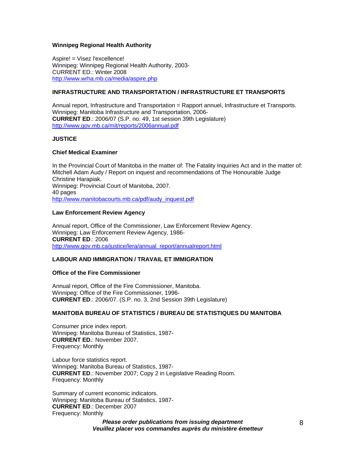## **Winnipeg Regional Health Authority**

Aspire! = Visez l'excellence! Winnipeg: Winnipeg Regional Health Authority, 2003- CURRENT ED.: Winter 2008 <http://www.wrha.mb.ca/media/aspire.php>

## **INFRASTRUCTURE AND TRANSPORTATION / INFRASTRUCTURE ET TRANSPORTS**

Annual report, Infrastructure and Transportation = Rapport annuel, Infrastructure et Transports. Winnipeg: Manitoba Infrastructure and Transportation, 2006- **CURRENT ED**.: 2006/07 (S.P. no. 49, 1st session 39th Legislature) [http://www.gov.mb.ca/mit/reports/2006annual.pdf](https://www.gov.mb.ca/mit/reports/2006annual.pdf)

#### **JUSTICE**

## **Chief Medical Examiner**

In the Provincial Court of Manitoba in the matter of: The Fatality Inquiries Act and in the matter of: Mitchell Adam Audy / Report on inquest and recommendations of The Honourable Judge Christine Harapiak. Winnipeg: Provincial Court of Manitoba, 2007. 40 pages [http://www.manitobacourts.mb.ca/pdf/audy\\_inquest.pdf](https://www.manitobacourts.mb.ca/pdf/audy_inquest.pdf)

## **Law Enforcement Review Agency**

Annual report, Office of the Commissioner, Law Enforcement Review Agency. Winnipeg: Law Enforcement Review Agency, 1986- **CURRENT ED**.: 2006 [http://www.gov.mb.ca/justice/lera/annual\\_report/annualreport.html](https://www.gov.mb.ca/justice/lera/annual_report/annualreport.html)

# **LABOUR AND IMMIGRATION / TRAVAIL ET IMMIGRATION**

## **Office of the Fire Commissioner**

Annual report, Office of the Fire Commissioner, Manitoba. Winnipeg: Office of the Fire Commissioner, 1996- **CURRENT ED**.: 2006/07. (S.P. no. 3, 2nd Session 39th Legislature)

#### **MANITOBA BUREAU OF STATISTICS / BUREAU DE STATISTIQUES DU MANITOBA**

Consumer price index report. Winnipeg: Manitoba Bureau of Statistics, 1987- **CURRENT ED.**: November 2007. Frequency: Monthly

Labour force statistics report. Winnipeg: Manitoba Bureau of Statistics, 1987- **CURRENT ED**.: November 2007; Copy 2 in Legislative Reading Room. Frequency: Monthly

Summary of current economic indicators. Winnipeg: Manitoba Bureau of Statistics, 1987- **CURRENT ED**.: December 2007 Frequency: Monthly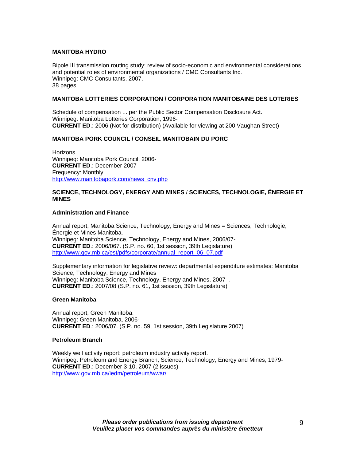#### **MANITOBA HYDRO**

Bipole III transmission routing study: review of socio-economic and environmental considerations and potential roles of environmental organizations / CMC Consultants Inc. Winnipeg: CMC Consultants, 2007. 38 pages

#### **MANITOBA LOTTERIES CORPORATION / CORPORATION MANITOBAINE DES LOTERIES**

Schedule of compensation ... per the Public Sector Compensation Disclosure Act. Winnipeg: Manitoba Lotteries Corporation, 1996- **CURRENT ED**.: 2006 (Not for distribution) (Available for viewing at 200 Vaughan Street)

## **MANITOBA PORK COUNCIL / CONSEIL MANITOBAIN DU PORC**

Horizons. Winnipeg: Manitoba Pork Council, 2006- **CURRENT ED**.: December 2007 Frequency: Monthly [http://www.manitobapork.com/news\\_cnv.php](http://www.manitobapork.com/news_cnv.php)

## **SCIENCE, TECHNOLOGY, ENERGY AND MINES** / **SCIENCES, TECHNOLOGIE, ÉNERGIE ET MINES**

#### **Administration and Finance**

Annual report, Manitoba Science, Technology, Energy and Mines = Sciences, Technologie, Énergie et Mines Manitoba. Winnipeg: Manitoba Science, Technology, Energy and Mines, 2006/07- **CURRENT ED**.: 2006/067. (S.P. no. 60, 1st session, 39th Legislature) [http://www.gov.mb.ca/est/pdfs/corporate/annual\\_report\\_06\\_07.pdf](https://www.gov.mb.ca/est/pdfs/corporate/annual_report_06_07.pdf)

Supplementary information for legislative review: departmental expenditure estimates: Manitoba Science, Technology, Energy and Mines Winnipeg: Manitoba Science, Technology, Energy and Mines, 2007- . **CURRENT ED**.: 2007/08 (S.P. no. 61, 1st session, 39th Legislature)

#### **Green Manitoba**

Annual report, Green Manitoba. Winnipeg: Green Manitoba, 2006- **CURRENT ED**.: 2006/07. (S.P. no. 59, 1st session, 39th Legislature 2007)

#### **Petroleum Branch**

Weekly well activity report: petroleum industry activity report. Winnipeg: Petroleum and Energy Branch, Science, Technology, Energy and Mines, 1979- **CURRENT ED**.: December 3-10, 2007 (2 issues) [http://www.gov.mb.ca/iedm/petroleum/wwar/](https://www.gov.mb.ca/iedm/petroleum/wwar/)